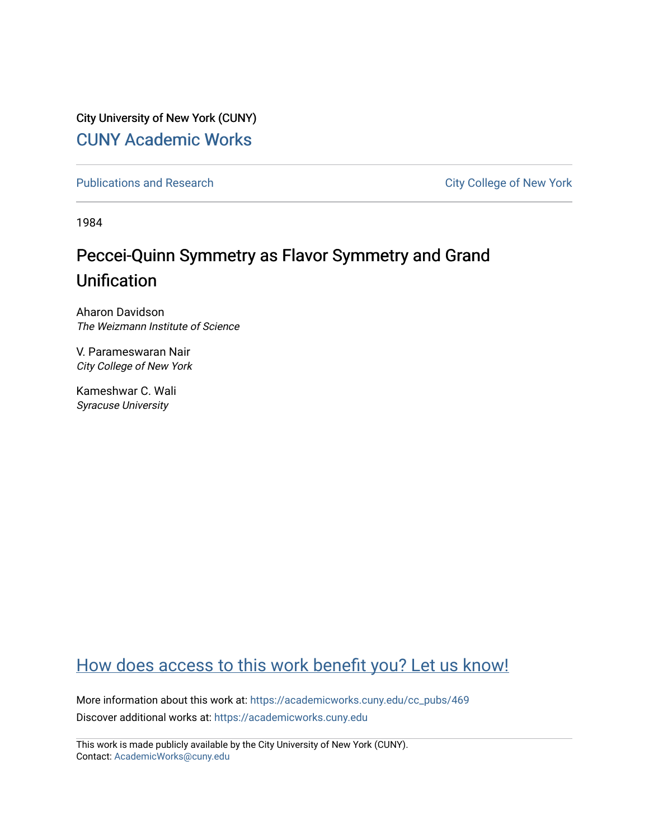City University of New York (CUNY) [CUNY Academic Works](https://academicworks.cuny.edu/) 

[Publications and Research](https://academicworks.cuny.edu/cc_pubs) **City College of New York** Publications and Research

1984

# Peccei-Quinn Symmetry as Flavor Symmetry and Grand Unification

Aharon Davidson The Weizmann Institute of Science

V. Parameswaran Nair City College of New York

Kameshwar C. Wali Syracuse University

## [How does access to this work benefit you? Let us know!](http://ols.cuny.edu/academicworks/?ref=https://academicworks.cuny.edu/cc_pubs/469)

More information about this work at: [https://academicworks.cuny.edu/cc\\_pubs/469](https://academicworks.cuny.edu/cc_pubs/469)  Discover additional works at: [https://academicworks.cuny.edu](https://academicworks.cuny.edu/?)

This work is made publicly available by the City University of New York (CUNY). Contact: [AcademicWorks@cuny.edu](mailto:AcademicWorks@cuny.edu)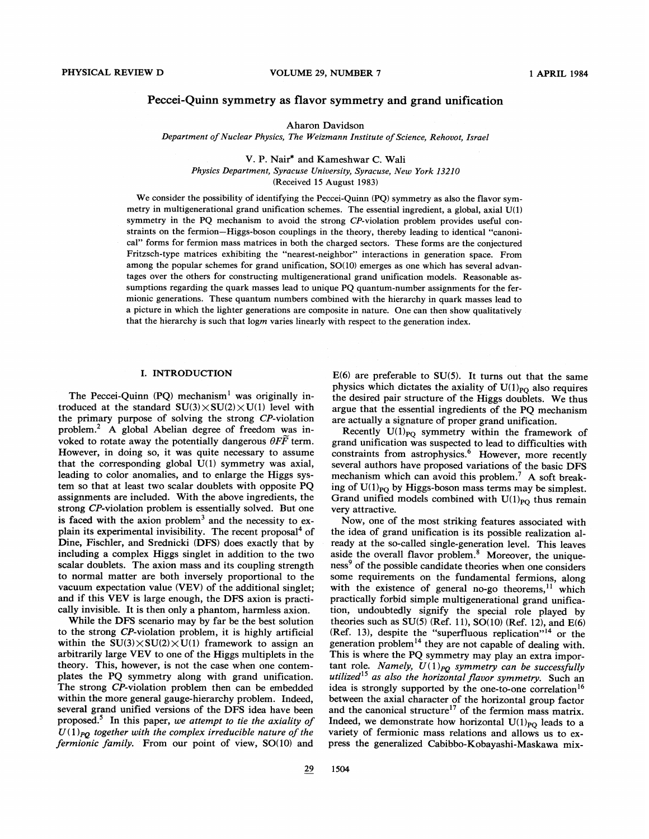## Peccei-Quinn symmetry as flavor symmetry and grand unification

Aharon Davidson

Department of Nuclear Physics, The Weizmann Institute of Science, Rehovot, Israel

V. P. Nair\* and Kameshwar C. Wali Physics Department, Syracuse University, Syracuse, Xew York 13210

(Received 15 August 1983)

We consider the possibility of identifying the Peccei-Quinn (PQ) symmetry as also the flavor symmetry in multigenerational grand unification schemes. The essential ingredient, a global, axial U(1) symmetry in the PQ mechanism to avoid the strong CP-violation problem provides useful constraints on the fermion-Higgs-boson couplings in the theory, thereby leading to identical "canonical" forms for fermion mass matrices in both the charged sectors. These forms are the conjectured Fritzsch-type matrices exhibiting the "nearest-neighbor" interactions in generation space. From among the popular schemes for grand unification, SO(10) emerges as one which has several advantages over the others for constructing multigenerational grand unification models. Reasonable assumptions regarding the quark masses lead to unique PQ quantum-number assignments for the fermionic generations. These quantum numbers combined with the hierarchy in quark masses lead to a picture in which the lighter generations are composite in nature. One can then show qualitatively that the hierarchy is such that logm varies linearly with respect to the generation index.

#### I. INTRODUCTION

The Peccei-Quinn  $(PQ)$  mechanism<sup>1</sup> was originally introduced at the standard  $SU(3)\times SU(2)\times U(1)$  level with the primary purpose of solving the strong CP-violation problem.<sup>2</sup> A global Abelian degree of freedom was invoked to rotate away the potentially dangerous  $\theta F\vec{F}$  term. However, in doing so, it was quite necessary to assume that the corresponding global  $U(1)$  symmetry was axial, leading to color anomalies, and to enlarge the Higgs system so that at least two scalar doublets with opposite PQ assignments are included. With the above ingredients, the strong CP-violation problem is essentially solved. But one is faced with the axion problem<sup>3</sup> and the necessity to explain its experimental invisibility. The recent proposal<sup>4</sup> of Dine, Fischler, and Srednicki (DFS) does exactly that by including a complex Higgs singlet in addition to the two scalar doublets. The axion mass and its coupling strength to normal matter are both inversely proportional to the vacuum expectation value (VEV) of the additional singlet; and if this VEV is large enough, the DFS axion is practically invisible. It is then only a phantom, harmless axion.

While the DFS scenario may by far be the best solution to the strong CP-violation problem, it is highly artificial within the  $SU(3)\times SU(2)\times U(1)$  framework to assign an arbitrarily large VEV to one of the Higgs multiplets in the theory. This, however, is not the case when one contemplates the PQ symmetry along with grand unification. The strong CP-violation problem then can be embedded within the more general gauge-hierarchy problem. Indeed, several grand unified versions of the DFS idea have been proposed.<sup>5</sup> In this paper, we attempt to tie the axiality of  $U(1)_{PQ}$  together with the complex irreducible nature of the fermionic family. From our point of view, SO(10) and

E(6) are preferable to SU(5). It turns out that the same physics which dictates the axiality of  $U(1)_{\text{PO}}$  also requires the desired pair structure of the Higgs doublets. We thus argue that the essential ingredients of the PQ mechanism are actually a signature of proper grand unification.

Recently  $U(1)_{\text{PO}}$  symmetry within the framework of grand unification was suspected to lead to difficulties with constraints from astrophysics.<sup>6</sup> However, more recently several authors have proposed variations of the basic DFS mechanism which can avoid this problem.<sup>7</sup> A soft breaking of  $U(1)_{PQ}$  by Higgs-boson mass terms may be simplest. Grand unified models combined with  $U(1)_{PQ}$  thus remain very attractive.

Now, one of the most striking features associated with the idea of grand unification is its possible realization already at the so-called single-generation level. This leaves aside the overall flavor problem.<sup>8</sup> Moreover, the uniqueness<sup>9</sup> of the possible candidate theories when one considers some requirements on the fundamental fermions, along some requirements on the fundamental fermions, along<br>with the existence of general no-go theorems,<sup>11</sup> which practically forbid simple multigenerational grand unification, undoubtedly signify the special role played by theories such as  $SU(5)$  (Ref. 11),  $SO(10)$  (Ref. 12), and  $E(6)$ (Ref. 13), despite the "superfluous replication"<sup>14</sup> or the generation problem<sup>14</sup> they are not capable of dealing with. This is where the PQ symmetry may play an extra important role. Namely,  $U(1)_{PQ}$  symmetry can be successfully utilized<sup>15</sup> as also the horizontal flavor symmetry. Such an. idea is strongly supported by the one-to-one correlation' between the axial character of the horizontal group factor and the canonical structure<sup>17</sup> of the fermion mass matrix. Indeed, we demonstrate how horizontal  $U(1)_{PQ}$  leads to a variety of fermionic mass relations and allows us to express the generalized Cabibbo-Kobayashi-Maskawa mix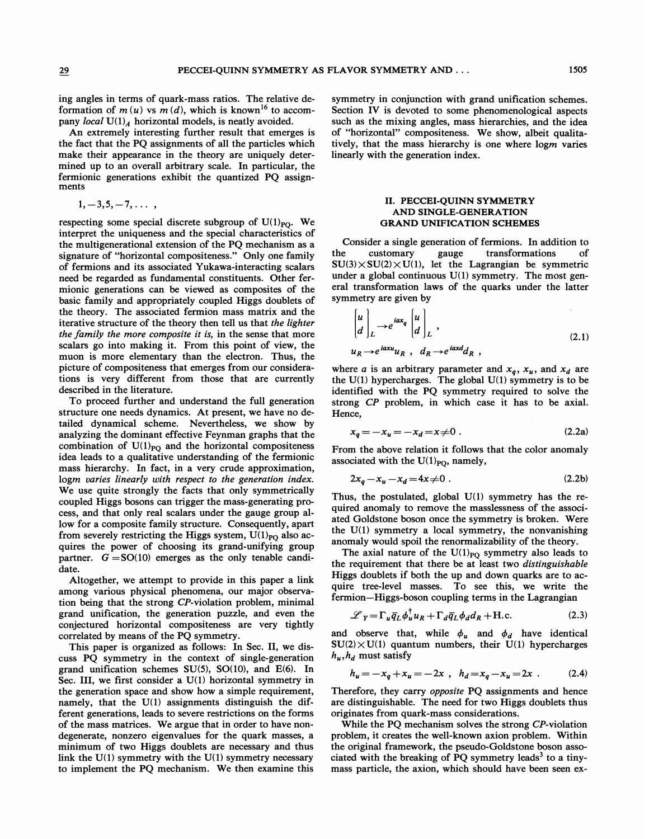ing angles in terms of quark-mass ratios. The relative deformation of  $m(u)$  vs  $m(d)$ , which is known<sup>16</sup> to accompany local  $U(1)_A$  horizontal models, is neatly avoided.

An extremely interesting further result that emerges is the fact that the PQ assignments of all the particles which make their appearance in the theory are uniquely determined up to an overall arbitrary scale. In particular, the fermionic generations exhibit the quantized PQ assignments

$$
1,-3,5,-7,\ldots
$$

respecting some special discrete subgroup of  $U(1)_{PQ}$ . We interpret the uniqueness and the special characteristics of the multigenerational extension of the PQ mechanism as a signature of "horizontal compositeness." Only one family of fermions and its associated Yukawa-interacting scalars need be regarded as fundamental constituents. Other fermionic generations can be viewed as composites of the basic family and appropriately coupled Higgs doublets of the theory. The associated fermion mass matrix and the iterative structure of the theory then tell us that the lighter the family the more composite it is, in the sense that more scalars go into making it. From this point of view, the muon is more elementary than the electron. Thus, the picture of compositeness that emerges from our considerations is very different from those that are currently described in the literature.

To proceed further and understand the full generation structure one needs dynamics. At present, we have no detailed dynamical scheme. Nevertheless, we show by analyzing the dominant effective Feynman graphs that the combination of  $U(1)_{\text{PO}}$  and the horizontal compositeness idea leads to a qualitative understanding of the fermionic mass hierarchy. In fact, in a very crude approximation, logm varies linearly with respect to the generation index. We use quite strongly the facts that only symmetrically coupled Higgs bosons can trigger the mass-generating process, and that only real scalars under the gauge group allow for a composite family structure. Consequently, apart from severely restricting the Higgs system,  $U(1)_{PQ}$  also acquires the power of choosing its grand-unifying group partner.  $G = SO(10)$  emerges as the only tenable candidate.

Altogether, we attempt to provide in this paper a link among various physical phenomena, our major observation being that the strong CP-violation problem, minimal grand unification, the generation puzzle, and even the conjectured horizontal compositeness are very tightly correlated by means of the PQ symmetry.

This paper is organized as follows: In Sec. II, we discuss PQ symmetry in the context of single-generation grand unification schemes SU(5), SO(10), and E(6). In Sec. III, we first consider a U(1) horizontal symmetry in the generation space and show how a simple requirement, namely, that the  $U(1)$  assignments distinguish the different generations, leads to severe restrictions on the forms of the mass matrices. We argue that in order to have nondegenerate, nonzero eigenvalues for the quark masses, a minimum of two Higgs doublets are necessary and thus link the  $U(1)$  symmetry with the  $U(1)$  symmetry necessary to implement the PQ mechanism. We then examine this

symmetry in conjunction with grand unification schemes. Section IV is devoted to some phenomenological aspects such as the mixing angles, mass hierarchies, and the idea of "horizontal" compositeness. We show, albeit qualitatively, that the mass hierarchy is one where logm varies linearly with the generation index.

### II. PECCEI-QUINN SYMMETRY AND SINGLE-GENERATION GRAND UNIFICATION SCHEMES

Consider a single generation of fermions. In addition to the customary gauge transformations of  $SU(3) \times SU(2) \times U(1)$ , let the Lagrangian be symmetric under a global continuous U(1) symmetry. The most general transformation laws of the quarks under the latter symmetry are given by

$$
\begin{bmatrix} u \\ d \end{bmatrix}_{L} \rightarrow e^{iax_{q}} \begin{bmatrix} u \\ d \end{bmatrix}_{L} ,
$$
  
\n
$$
u_{R} \rightarrow e^{iaxu} u_{R} , d_{R} \rightarrow e^{iax d} d_{R} ,
$$
\n(2.1)

where *a* is an arbitrary parameter and  $x_q$ ,  $x_u$ , and  $x_d$  are the  $U(1)$  hypercharges. The global  $U(1)$  symmetry is to be identified with the PQ symmetry required to solve the strong CP problem, in which case it has to be axial. Hence,

$$
x_q = -x_u = -x_d = x \neq 0
$$
 (2.2a)

From the above relation it follows that the color anomaly associated with the  $U(1)_{\text{PO}}$ , namely,

$$
2x_q - x_u - x_d = 4x \neq 0 \tag{2.2b}
$$

Thus, the postulated, global U(1) symmetry has the required anomaly to remove the masslessness of the associated Goldstone boson once the symmetry is broken. Were the U(l) symmetry a local symmetry, the nonvanishing anomaly would spoil the renormalizability of the theory.

The axial nature of the  $U(1)_{PQ}$  symmetry also leads to the requirement that there be at least two distinguishable Higgs doublets if both the up and down quarks are to acquire tree-level masses. To see this, we write the fermion —Higgs-boson coupling terms in the Lagrangian

$$
\mathcal{L}_Y = \Gamma_u \overline{q}_L \phi_u^{\dagger} u_R + \Gamma_d \overline{q}_L \phi_d d_R + \text{H.c.}
$$
 (2.3)

and observe that, while  $\phi_u$  and  $\phi_d$  have identical  $SU(2) \times U(1)$  quantum numbers, their U(1) hypercharges  $h_u, h_d$  must satisfy

$$
h_u = -x_q + x_u = -2x \, , \, h_d = x_q - x_u = 2x \, . \tag{2.4}
$$

Therefore, they carry *opposite* PQ assignments and hence are distinguishable. The need for two Higgs doublets thus originates from quark-mass considerations.

While the PQ mechanism solves the strong CP-violation problem, it creates the well-known axion problem. Within the original framework, the pseudo-Goldstone boson associated with the breaking of PQ symmetry leads<sup>3</sup> to a tinymass particle, the axion, which should have been seen ex-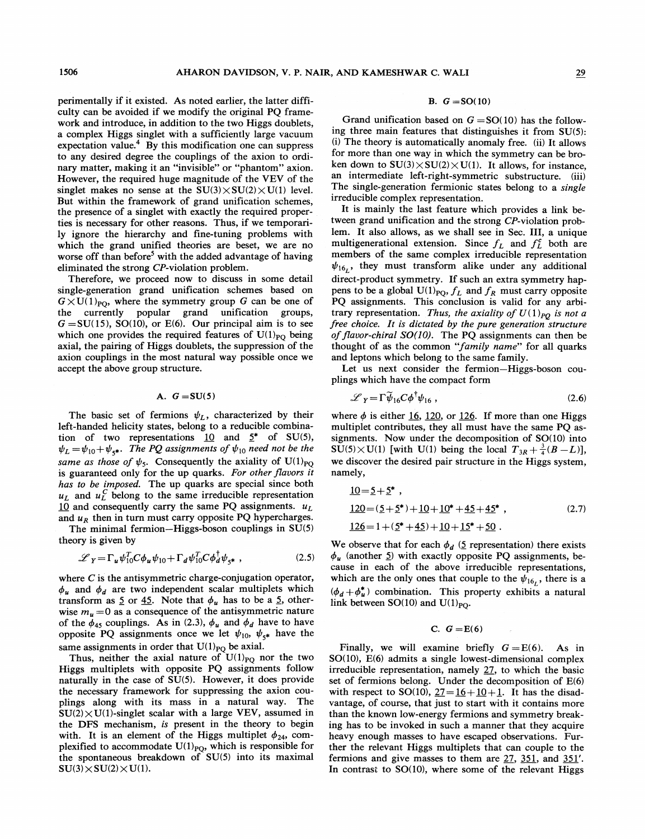perimentally if it existed. As noted earlier, the latter difficulty can be avoided if we modify the original PQ framework and introduce, in addition to the two Higgs doublets, a complex Higgs singlet with a sufficiently large vacuum expectation value. $4$  By this modification one can suppress to any desired degree the couplings of the axion to ordinary matter, making it an "invisible" or "phantom" axion. However, the required huge magnitude of the VEV of the singlet makes no sense at the  $SU(3)\times SU(2)\times U(1)$  level. But within the framework of grand unification schemes, the presence of a singlet with exactly the required properties is necessary for other reasons. Thus, if we temporarily ignore the hierarchy and fine-tuning problems with which the grand unified theories are beset, we are no worse off than before<sup>5</sup> with the added advantage of having eliminated the strong CP-violation problem.

Therefore, we proceed now to discuss in some detail single-generation grand unification schemes based on  $G \times U(1)_{\text{PO}}$ , where the symmetry group G can be one of the currently popular grand unification groups,  $G = SU(15)$ , SO(10), or E(6). Our principal aim is to see which one provides the required features of  $U(1)_{\text{PO}}$  being axial, the pairing of Higgs doublets, the suppression of the axion couplings in the most natural way possible once we accept the above group structure.

### A.  $G = SU(5)$

The basic set of fermions  $\psi_L$ , characterized by their left-handed helicity states, belong to a reducible combination of two representations  $10$  and  $5^*$  of SU(5),  $\psi_L = \psi_{10} + \psi_{5*}$ . The PQ assignments of  $\psi_{10}$  need not be the same as those of  $\psi_5$ . Consequently the axiality of U(1)<sub>PO</sub> is guaranteed only for the up quarks. For other flavors it has to be imposed. The up quarks are special since both  $u_L$  and  $u_L^C$  belong to the same irreducible representation 10 and consequently carry the same PQ assignments.  $u_L$ and  $u_R$  then in turn must carry opposite PQ hypercharges.

The minimal fermion—Higgs-boson couplings in  $SU(5)$ theory is given by

$$
\mathcal{L}_Y = \Gamma_u \psi_{10}^T C \phi_u \psi_{10} + \Gamma_d \psi_{10}^T C \phi_d^{\dagger} \psi_{5^*} , \qquad (2.5)
$$

where C is the antisymmetric charge-conjugation operator,  $\phi_u$  and  $\phi_d$  are two independent scalar multiplets which transform as  $\leq$  or  $\frac{45}{5}$ . Note that  $\phi_u$  has to be a  $\leq$ , otherwise  $m_u = 0$  as a consequence of the antisymmetric nature of the  $\phi_{45}$  couplings. As in (2.3),  $\phi_u$  and  $\phi_d$  have to have opposite PQ assignments once we let  $\psi_{10}$ ,  $\psi_{5*}$  have the same assignments in order that  $U(1)_{PQ}$  be axial.

Thus, neither the axial nature of  $U(1)_{\text{PO}}$  nor the two Higgs multiplets with opposite PQ assignments follow naturally in the case of SU(5). However, it does provide the necessary framework for suppressing the axion couplings along with its mass in a natural way. The  $SU(2) \times U(1)$ -singlet scalar with a large VEV, assumed in the DFS mechanism, is present in the theory to begin with. It is an element of the Higgs multiplet  $\phi_{24}$ , complexified to accommodate  $U(1)_{PQ}$ , which is responsible for the spontaneous breakdown of SU(5) into its maximal  $SU(3)\times SU(2)\times U(1)$ .

#### **B.**  $G = SO(10)$

Grand unification based on  $G = SO(10)$  has the following three main features that distinguishes it from SU(5): (i) The theory is automatically anomaly free. (ii) It allows for more than one way in which the symmetry can be broken down to  $SU(3) \times SU(2) \times U(1)$ . It allows, for instance, an intermediate left-right-symmetric substructure. (iii) The single-generation fermionic states belong to a *single* irreducible complex representation.

It is mainly the last feature which provides a link between grand unification and the strong CP-violation problem. It also allows, as we shall see in Sec. III, a unique multigenerational extension. Since  $f_L$  and  $f_L^c$  both are members of the same complex irreducible representation  $\psi_{16}$ , they must transform alike under any additional direct-product symmetry. If such an extra symmetry happens to be a global  $U(1)_{PQ}$ ,  $f_L$  and  $f_R$  must carry opposite PQ assignments. This conclusion is valid for any arbitrary representation. Thus, the axiality of  $U(1)_{PQ}$  is not a free choice. It is dictated by the pure generation structure of flavor-chiral  $SO(10)$ . The PQ assignments can then be thought of as the common "family name" for all quarks and leptons which belong to the same family.

Let us next consider the fermion—Higgs-boson couplings which have the compact form

$$
\mathscr{L}_Y = \Gamma \widetilde{\psi}_{16} C \phi^{\dagger} \psi_{16} , \qquad (2.6)
$$

where  $\phi$  is either 16, 120, or 126. If more than one Higgs multiplet contributes, they all must have the same PQ assignments. Now under the decomposition of SO(10) into  $SU(5)\times U(1)$  [with U(1) being the local  $T_{3R}+\frac{3}{4}(B-L)$ ], we discover the desired pair structure in the Higgs system, namely,

$$
\underline{10} = \underline{5} + \underline{5}^* ,
$$
  
\n
$$
\underline{120} = (\underline{5} + \underline{5}^*) + \underline{10} + \underline{10}^* + \underline{45} + \underline{45}^* ,
$$
  
\n
$$
\underline{126} = 1 + (\underline{5}^* + \underline{45}) + \underline{10} + \underline{15}^* + \underline{50} .
$$
  
\n(2.7)

We observe that for each  $\phi_d$  (5 representation) there exists  $\phi_u$  (another 5) with exactly opposite PQ assignments, because in each of the above irreducible representations, which are the only ones that couple to the  $\psi_{16}$ , there is a  $(\phi_d + \phi_u^*)$  combination. This property exhibits a natural link between SO(10) and U(1)<sub>PO</sub>.

## C.  $G = E(6)$

Finally, we will examine briefly  $G = E(6)$ . As in SO(10), E(6) admits a single lowest-dimensional complex irreducible representation, namely 27, to which the basic set of fermions belong. Under the decomposition of E(6) with respect to SO(10),  $27 = 16 + 10 + 1$ . It has the disadvantage, of course, that just to start with it contains more than the known low-energy fermions and symmetry breaking has to be invoked in such a manner that they acquire heavy enough masses to have escaped observations. Further the relevant Higgs multiplets that can couple to the fermions and give masses to them are 27, 351, and 351'. In contrast to SO(10), where some of the relevant Higgs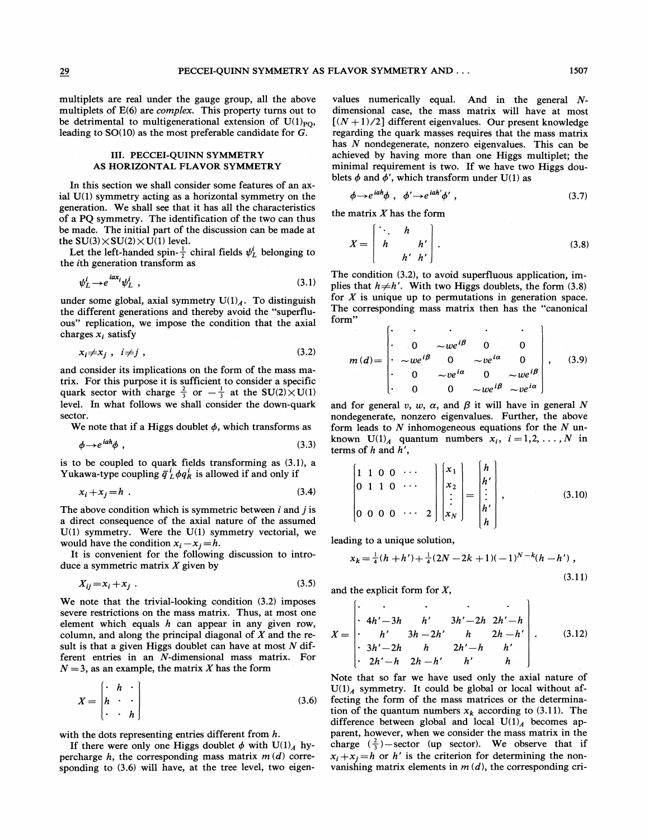multiplets are real under the gauge group, all the above multiplets of E(6) are complex. This property turns out to be detrimental to multigenerational extension of  $U(1)_{PO}$ , leading to SO(10) as the most preferable candidate for G.

## III. PECCEI-QUINN SYMMETRY AS HORIZONTAL FLAVOR SYMMETRY

In this section we shall consider some features of an axial  $U(1)$  symmetry acting as a horizontal symmetry on the generation. We shall see that it has all the characteristics of a PQ symmetry. The identification of the two can thus be made. The initial part of the discussion can be made at the  $SU(3) \times SU(2) \times U(1)$  level.

Let the left-handed spin- $\frac{1}{2}$  chiral fields  $\psi_L^i$  belonging to the ith generation transform as

$$
\psi_L^i \to e^{iax_i} \psi_L^i \t\t(3.1)
$$

under some global, axial symmetry  $U(1)_A$ . To distinguish the different generations and thereby avoid the "superfluous" replication, we impose the condition that the axial charges  $x_i$  satisfy

$$
x_i \neq x_j \; , \quad i \neq j \; , \tag{3.2}
$$

and consider its implications on the form of the mass matrix. For this purpose it is sufficient to consider a specific quark sector with charge  $\frac{2}{3}$  or  $-\frac{1}{3}$  at the SU(2) $\times$ U(1) level. In what follows we shall consider the down-quark sector.

We note that if a Higgs doublet  $\phi$ , which transforms as

$$
\phi \rightarrow e^{iah} \phi \tag{3.3}
$$

is to be coupled to quark fields transforming as (3.1), a Yukawa-type coupling  $\bar{q}_L^i \phi q_R^i$  is allowed if and only if

$$
x_i + x_j = h \tag{3.4}
$$

The above condition which is symmetric between  $i$  and  $j$  is a direct consequence of the axial nature of the assumed  $U(1)$  symmetry. Were the  $U(1)$  symmetry vectorial, we would have the condition  $x_i - x_j = h$ .

It is convenient for the following discussion to introduce a symmetric matrix  $X$  given by

$$
X_{ij} = x_i + x_j \tag{3.5}
$$

We note that the trivial-looking condition (3.2) imposes severe restrictions on the mass matrix. Thus, at most one element which equals  $h$  can appear in any given row, column, and along the principal diagonal of  $X$  and the result is that a given Higgs doublet can have at most  $N$  different entries in an N-dimensional mass matrix. For  $N = 3$ , as an example, the matrix X has the form

$$
X = \begin{bmatrix} \cdot & h & \cdot \\ h & \cdot & \cdot \\ \cdot & \cdot & h \end{bmatrix}
$$
 (3.6)

with the dots representing entries different from h.

If there were only one Higgs doublet  $\phi$  with U(1)<sub>A</sub> hypercharge h, the corresponding mass matrix  $m(d)$  corresponding to (3.6) will have, at the tree level, two eigen-

values numerically equal. And in the general  $N$ dimensional case, the mass matrix will have at most  $[(N+1)/2]$  different eigenvalues. Our present knowledge regarding the quark masses requires that the mass matrix has N nondegenerate, nonzero eigenvalues. This can be achieved by having more than one Higgs multiplet; the minimal requirement is two. If we have two Higgs doublets  $\phi$  and  $\phi'$ , which transform under U(1) as

$$
\phi \rightarrow e^{iah} \phi \ , \ \phi' \rightarrow e^{iah'} \phi' \ , \tag{3.7}
$$

the matrix  $X$  has the form

$$
X = \begin{bmatrix} \ddots & h \\ h & h' \\ h' & h' \end{bmatrix} .
$$
 (3.8)

The condition (3.2), to avoid superfluous application, implies that  $h \neq h'$ . With two Higgs doublets, the form (3.8) for  $X$  is unique up to permutations in generation space. The corresponding mass matrix then has the "canonical form"

$$
m(d) = \begin{vmatrix} \cdot & \cdot & \cdot & \cdot & \cdot \\ 0 & \sim w e^{i\beta} & 0 & 0 \\ \cdot & \sim w e^{i\beta} & 0 & \sim v e^{i\alpha} & 0 \\ 0 & \sim v e^{i\alpha} & 0 & \sim w e^{i\beta} \\ 0 & 0 & \sim w e^{i\beta} & \sim v e^{i\alpha} \end{vmatrix},
$$
 (3.9)

and for general v, w,  $\alpha$ , and  $\beta$  it will have in general N nondegenerate, nonzero eigenvalues. Further, the above form leads to  $N$  inhomogeneous equations for the  $N$  unknown  $U(1)_4$  quantum numbers  $x_i$ ,  $i = 1, 2, ..., N$  in terms of  $h$  and  $h'$ ,

$$
\begin{bmatrix} 1 & 1 & 0 & 0 & \cdots \\ 0 & 1 & 1 & 0 & \cdots \\ 0 & 0 & 0 & 0 & \cdots & 2 \end{bmatrix} \begin{bmatrix} x_1 \\ x_2 \\ \vdots \\ x_N \end{bmatrix} = \begin{bmatrix} h \\ h' \\ \vdots \\ h' \end{bmatrix}, \qquad (3.10)
$$

leading to a unique solution,

$$
x_k = \frac{1}{4}(h+h') + \frac{1}{4}(2N-2k+1)(-1)^{N-k}(h-h')
$$
\n(3.11)

and the explicit form for X,

$$
X = \begin{bmatrix} \cdot & \cdot & \cdot & \cdot & \cdot \\ \cdot & 4h' - 3h & h' & 3h' - 2h & 2h' - h \\ \cdot & h' & 3h - 2h' & h & 2h - h' \\ \cdot & 3h' - 2h & h & 2h' - h & h' \\ \cdot & 2h' - h & 2h - h' & h' & h \end{bmatrix}.
$$
 (3.12)

Note that so far we have used only the axial nature of  $U(1)_A$  symmetry. It could be global or local without affecting the form of the mass matrices or the determination of the quantum numbers  $x_k$  according to (3.11). The difference between global and local  $U(1)_A$  becomes apparent, however, when we consider the mass matrix in the charge  $(\frac{2}{3})$ —sector (up sector). We observe that if  $x_i+x_j=h$  or h' is the criterion for determining the nonvanishing matrix elements in  $m(d)$ , the corresponding cri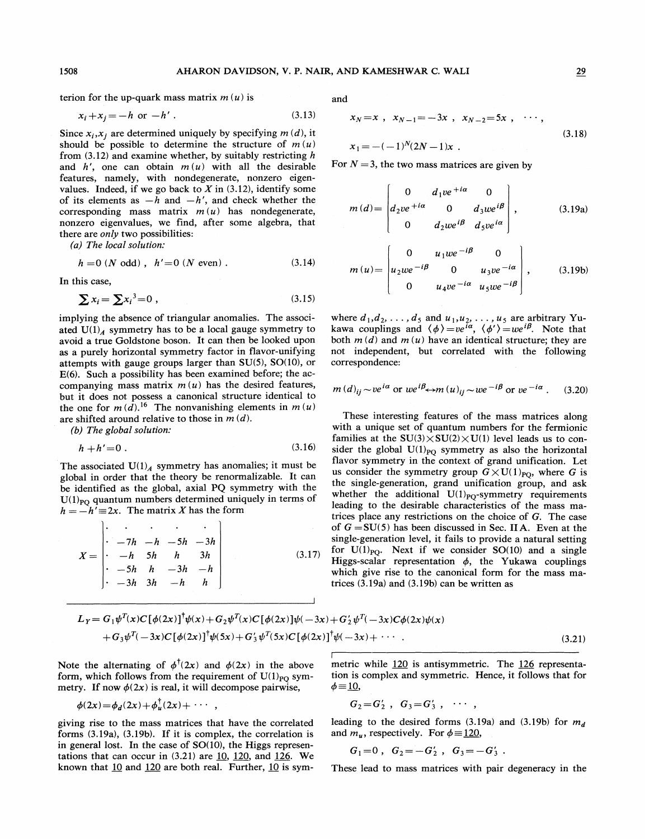terion for the up-quark mass matrix  $m(u)$  is

$$
x_i + x_j = -h \text{ or } -h'.
$$
 (3.13)

Since  $x_i, x_j$  are determined uniquely by specifying  $m(d)$ , it should be possible to determine the structure of  $m(u)$ from  $(3.12)$  and examine whether, by suitably restricting h and h', one can obtain  $m(u)$  with all the desirable features, namely, with nondegenerate, nonzero eigenvalues. Indeed, if we go back to  $X$  in (3.12), identify some of its elements as  $-h$  and  $-h'$ , and check whether the corresponding mass matrix  $m(u)$  has nondegenerate, nonzero eigenvalues, we find, after some algebra, that there are *only* two possibilities:

(a) The local solution:

$$
h = 0 (N \text{ odd}), \quad h' = 0 (N \text{ even}). \tag{3.14}
$$

In this case,

$$
\sum x_i = \sum x_i^3 = 0 \tag{3.15}
$$

implying the absence of triangular anomalies. The associated  $U(1)_A$  symmetry has to be a local gauge symmetry to avoid a true Goldstone boson. It can then be looked upon as a purely horizontal symmetry factor in flavor-unifying attempts with gauge groups larger than SU(5), SO(10), or E(6). Such a possibility has been examined before; the accompanying mass matrix  $m(u)$  has the desired features, but it does not possess a canonical structure identical to the one for  $m(\tilde{d})$ .<sup>16</sup> The nonvanishing elements in  $m(u)$ are shifted around relative to those in  $m(d)$ .

(b) The global solution:

$$
h + h' = 0 \tag{3.16}
$$

The associated  $U(1)_A$  symmetry has anomalies; it must be global in order that the theory be renormalizable. It can be identified as the global, axial PQ symmetry with the  $U(1)_{PO}$  quantum numbers determined uniquely in terms of  $h = -h' \equiv 2x$ . The matrix X has the form

$$
X = \begin{vmatrix} \cdot & \cdot & \cdot & \cdot & \cdot \\ \cdot & -7h & -h & -5h & -3h \\ -h & 5h & h & 3h \\ -5h & h & -3h & -h \\ \cdot & -3h & 3h & -h & h \end{vmatrix}
$$
 (3.17)

and

3.13) 
$$
x_N = x
$$
,  $x_{N-1} = -3x$ ,  $x_{N-2} = 5x$ ,  $\cdots$ ,  
\n*d*), it  $x_1 = -(-1)^N (2N-1)x$ . (3.18)

For  $N = 3$ , the two mass matrices are given by

$$
m(d) = \begin{bmatrix} 0 & d_1ve^{i\alpha} & 0 \\ d_2ve^{i\alpha} & 0 & d_3we^{i\beta} \\ 0 & d_2we^{i\beta} & d_5ve^{i\alpha} \end{bmatrix},
$$
 (3.19a)

$$
m(u) = \begin{bmatrix} 0 & u_1we^{-i\beta} & 0 \\ u_2we^{-i\beta} & 0 & u_3ve^{-i\alpha} \\ 0 & u_4ve^{-i\alpha} & u_5we^{-i\beta} \end{bmatrix},
$$
 (3.19b)

where  $d_1, d_2, \ldots, d_5$  and  $u_1, u_2, \ldots, u_5$  are arbitrary Yukawa couplings and  $\langle \phi \rangle =ve^{i\alpha}$ ,  $\langle \phi' \rangle =we^{i\beta}$ . Note that both  $m(d)$  and  $m(u)$  have an identical structure; they are not independent, but correlated with the following correspondence:

$$
m(d)_{ij} \sim ve^{i\alpha}
$$
 or  $we^{i\beta} \leftrightarrow m(u)_{ij} \sim we^{-i\beta}$  or  $ve^{-i\alpha}$ . (3.20)

These interesting features of the mass matrices along with a unique set of quantum numbers for the fermionic families at the  $SU(3) \times SU(2) \times U(1)$  level leads us to consider the global  $U(1)_{PQ}$  symmetry as also the horizontal flavor symmetry in the context of grand unification. Let us consider the symmetry group  $G \times U(1)_{\text{PO}}$ , where G is the single-generation, grand unification group, and ask whether the additional  $U(1)_{\text{PO}}$ -symmetry requirements leading to the desirable characteristics of the mass matrices place any restrictions on the choice of G. The case of  $G = SU(5)$  has been discussed in Sec. II A. Even at the single-generation level, it fails to provide a natural setting for  $U(1)_{\text{PO}}$ . Next if we consider SO(10) and a single Higgs-scalar representation  $\phi$ , the Yukawa couplings which give rise to the canonical form for the mass matrices (3.19a) and (3.19b) can be written as

$$
L_Y = G_1 \psi^T(x) C [\phi(2x)]^{\dagger} \psi(x) + G_2 \psi^T(x) C [\phi(2x)] \psi(-3x) + G'_2 \psi^T(-3x) C \phi(2x) \psi(x)
$$
  
+ 
$$
G_3 \psi^T(-3x) C [\phi(2x)]^{\dagger} \psi(5x) + G'_3 \psi^T(5x) C [\phi(2x)]^{\dagger} \psi(-3x) + \cdots
$$
 (3.21)

Note the alternating of  $\phi^{\dagger}(2x)$  and  $\phi(2x)$  in the above form, which follows from the requirement of  $U(1)_{PQ}$  symmetry. If now  $\phi(2x)$  is real, it will decompose pairwise,

$$
\phi(2x) = \phi_d(2x) + \phi_u^{\dagger}(2x) + \cdots ,
$$

giving rise to the mass matrices that have the correlated forms (3.19a), (3.19b). If it is complex, the correlation is in general lost. In the case of SO(10), the Higgs representations that can occur in  $(3.21)$  are  $\underline{10}$ ,  $\underline{120}$ , and  $\underline{126}$ . We known that  $10$  and  $120$  are both real. Further,  $10$  is sym-

netric while 120 is antisymmetric. The 126 representation is complex and symmetric. Hence, it follows that for  $\phi$ =10,

$$
G_2 = G'_2
$$
,  $G_3 = G'_3$ ,  $\cdots$ ,

leading to the desired forms (3.19a) and (3.19b) for  $m_d$ and  $m_{\mu}$ , respectively. For  $\phi = 120$ ,

$$
G_1=0
$$
,  $G_2=-G'_2$ ,  $G_3=-G'_3$ .

These lead to mass matrices with pair degeneracy in the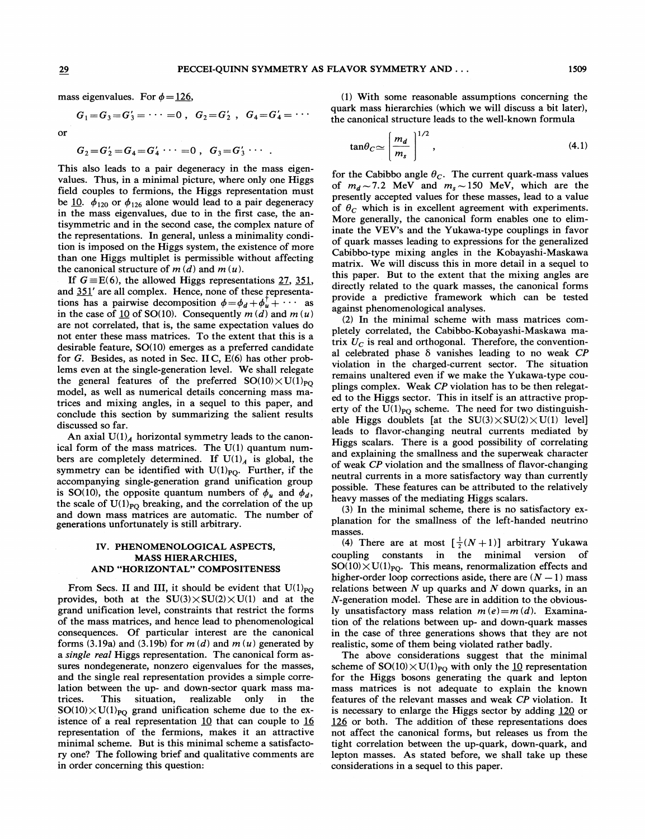or

mass eigenvalues. For  $\phi$  = 126,

$$
G_1 = G_3 = G'_3 = \cdots = 0
$$
,  $G_2 = G'_2$ ,  $G_4 = G'_4 = \cdots$ 

$$
G_2 = G'_2 = G_4 = G'_4 \cdots = 0
$$
,  $G_3 = G'_3 \cdots$   $\tan \theta_C \simeq$ 

This also leads to a pair degeneracy in the mass eigenvalues. Thus, in a minimal picture, where only one Higgs field couples to fermions, the Higgs representation must be 10.  $\phi_{120}$  or  $\phi_{126}$  alone would lead to a pair degeneracy in the mass eigenvalues, due to in the first case, the antisymmetric and in the second case, the complex nature of the representations. In general, unless a minimality condition is imposed on the Higgs system, the existence of more than one Higgs multiplet is permissible without affecting the canonical structure of  $m(d)$  and  $m(u)$ .

If  $G \equiv E(6)$ , the allowed Higgs representations 27, 351, and  $351'$  are all complex. Hence, none of these representations has a pairwise decomposition  $\phi = \phi_d + \phi_u^{\dagger} + \cdots$  as in the case of 10 of SO(10). Consequently  $m(d)$  and  $m(u)$ are not correlated, that is, the same expectation values do not enter these mass matrices. To the extent that this is a desirable feature, SO(10) emerges as a preferred candidate for G. Besides, as noted in Sec. II C, E(6) has other problems even at the single-generation level. We shall relegate the general features of the preferred  $SO(10)\times U(1)_{PQ}$ model, as well as numerical details concerning mass matrices and mixing angles, in a sequel to this paper, and conclude this section by summarizing the salient results discussed so far.

An axial  $U(1)$ <sub>4</sub> horizontal symmetry leads to the canonical form of the mass matrices. The U(1) quantum numbers are completely determined. If  $U(1)_A$  is global, the symmetry can be identified with  $U(1)_{PQ}$ . Further, if the accompanying single-generation grand unification group is SO(10), the opposite quantum numbers of  $\phi_u$  and  $\phi_d$ , the scale of  $U(1)_{\text{PO}}$  breaking, and the correlation of the up and down mass matrices are automatic. The number of generations unfortunately is still arbitrary.

## IV. PHENOMENOLOGICAL ASPECTS, MASS HIERARCHIES, AND "HORIZONTAL" COMPOSITENESS

From Secs. II and III, it should be evident that  $U(1)_{PQ}$ provides, both at the  $SU(3) \times SU(2) \times U(1)$  and at the grand unification level, constraints that restrict the forms of the mass matrices, and hence lead to phenomenological consequences. Of particular interest are the canonical forms (3.19a) and (3.19b) for  $m(d)$  and  $m(u)$  generated by a *single real* Higgs representation. The canonical form assures nondegenerate, nonzero eigenvalues for the masses, and the single real representation provides a simple correlation between the up- and down-sector quark mass matrices. This situation, realizable only in the  $SO(10)\times U(1)_{PQ}$  grand unification scheme due to the existence of a real representation  $10$  that can couple to  $16$ representation of the fermions, makes it an attractive minimal scheme. But is this minimal scheme a satisfactory one? The following brief and qualitative comments are in order concerning this question:

(1) With some reasonable assumptions concerning the quark mass hierarchies (which we will discuss a bit later), the canonical structure leads to the well-known formula

$$
\tan \theta_C \simeq \left[\frac{m_d}{m_s}\right]^{1/2},\tag{4.1}
$$

for the Cabibbo angle  $\theta_C$ . The current quark-mass values of  $m_d \sim 7.2$  MeV and  $m_s \sim 150$  MeV, which are the presently accepted values for these masses, lead to a value of  $\theta_c$  which is in excellent agreement with experiments. More generally, the canonical form enables one to eliminate the VEV's and the Yukawa-type couplings in favor of quark masses leading to expressions for the generalized Cabibbo-type mixing angles in the Kobayashi-Maskawa matrix. We wi11 discuss this in more detail in a sequel to this paper. But to the extent that the mixing angles are directly related to the quark masses, the canonical forms provide a predictive framework which can be tested against phenomenological analyses.

(2) In the minimal scheme with mass matrices completely correlated, the Cabibbo-Kobayashi-Maskawa matrix  $U_C$  is real and orthogonal. Therefore, the conventional celebrated phase  $\delta$  vanishes leading to no weak CP violation in the charged-current sector. The situation remains unaltered even if we make the Yukawa-type couplings complex. Weak CP violation has to be then relegated to the Higgs sector. This in itself is an attractive property of the  $U(1)_{\text{PO}}$  scheme. The need for two distinguishable Higgs doublets [at the  $SU(3)\times SU(2)\times U(1)$  level] leads to flavor-changing neutral currents mediated by Higgs scalars. There is a good possibility of correlating and explaining the smallness and the superweak character of weak CP violation and the smallness of flavor-changing neutral currents in a more satisfactory way than currently possible. These features can be attributed to the relatively heavy masses of the mediating Higgs scalars.

(3) In the minimal scheme, there is no satisfactory explanation for the smallness of the left-handed neutrino masses.

(4) There are at most  $\left[\frac{1}{2}(N+1)\right]$  arbitrary Yukawa coupling constants in the minimal version of  $SO(10)\times U(1)_{\text{PO}}$ . This means, renormalization effects and higher-order loop corrections aside, there are  $(N - 1)$  mass relations between  $N$  up quarks and  $N$  down quarks, in an N-generation model. These are in addition to the obviously unsatisfactory mass relation  $m(e)=m(d)$ . Examination of the relations between up- and down-quark masses in the case of three generations shows that they are not realistic, some of them being violated rather badly.

The above considerations suggest that the minimal scheme of  $SO(10)\times U(1)_{PQ}$  with only the 10 representation for the Higgs bosons generating the quark and lepton mass matrices is not adequate to explain the known features of the relevant masses and weak CP violation. It is necessary to enlarge the Higgs sector by adding 120 or 126 or both. The addition of these representations does not affect the canonical forms, but releases us from the tight correlation between the up-quark, down-quark, and lepton masses. As stated before, we shall take up these considerations in a sequel to this paper.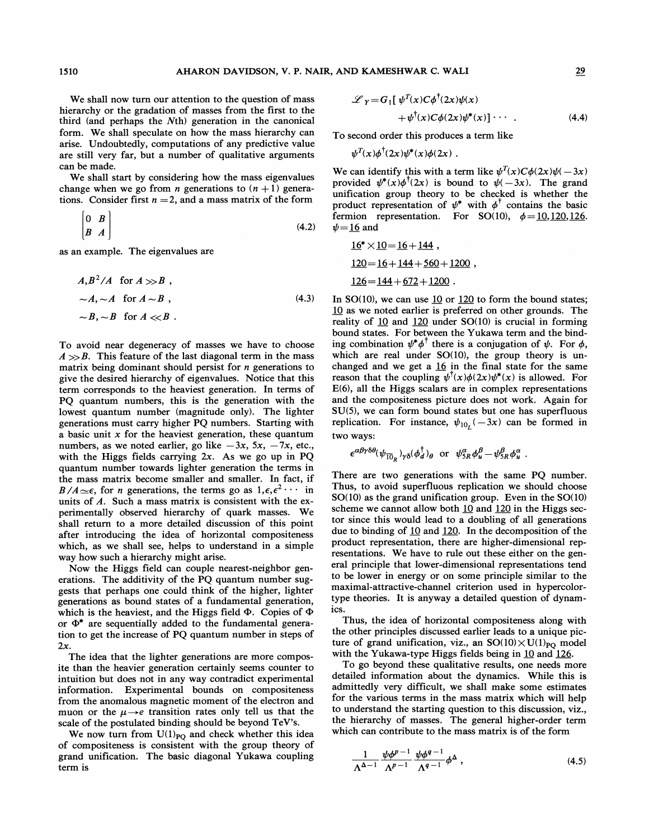## 1510 AHARON DAVIDSON, V. P. NAIR, AND KAMESHWAR C. WALI 29

We shall now turn our attention to the question of mass hierarchy or the gradation of masses from the first to the third (and perhaps the Nth) generation in the canonical form. We shall speculate on how the mass hierarchy can arise. Undoubtedly, computations of any predictive value are still very far, but a number of qualitative arguments can be made.

We shall start by considering how the mass eigenvalues change when we go from *n* generations to  $(n + 1)$  generations. Consider first  $n = 2$ , and a mass matrix of the form

$$
\begin{bmatrix} 0 & B \\ B & A \end{bmatrix} \tag{4.2}
$$

as an example. The eigenvalues are

$$
A, B2/A \text{ for } A \gg B,
$$
  
\sim A, \sim A \text{ for } A \sim B,  
\sim B, \sim B \text{ for } A \ll B. (4.3)

To avoid near degeneracy of masses we have to choose  $A \gg B$ . This feature of the last diagonal term in the mass matrix being dominant should persist for  $n$  generations to give the desired hierarchy of eigenvalues. Notice that this term corresponds to the heaviest generation. In terms of PQ quantum numbers, this is the generation with the lowest quantum number (magnitude only). The lighter generations must carry higher PQ numbers. Starting with a basic unit  $x$  for the heaviest generation, these quantum numbers, as we noted earlier, go like  $-3x$ ,  $5x$ ,  $-7x$ , etc., with the Higgs fields carrying  $2x$ . As we go up in PQ quantum number towards lighter generation the terms in the mass matrix become smaller and smaller. In fact, if  $B/A \simeq \epsilon$ , for *n* generations, the terms go as  $1, \epsilon, \epsilon^2 \cdots$  in units of A. Such a mass matrix is consistent with the experimentally observed hierarchy of quark masses. We shall return to a more detailed discussion of this point after introducing the idea of horizontal compositeness which, as we shall see, helps to understand in a simple way how such a hierarchy might arise.

Now the Higgs field can couple nearest-neighbor generations. The additivity of the PQ quantum number suggests that perhaps one could think of the higher, lighter generations as bound states of a fundamental generation, which is the heaviest, and the Higgs field  $\Phi$ . Copies of  $\Phi$ or  $\Phi^*$  are sequentially added to the fundamental generation to get the increase of PQ quantum number in steps of 2x.

The idea that the lighter generations are more composite than the heavier generation certainly seems counter to intuition but does not in any way contradict experimental information. Experimental bounds on compositeness from the anomalous magnetic moment of the electron and muon or the  $\mu \rightarrow e$  transition rates only tell us that the scale of the postulated binding should be beyond TeV's.

We now turn from  $U(1)_{PQ}$  and check whether this idea of compositeness is consistent with the group theory of grand unification. The basic diagonal Yukawa coupling term is

$$
\mathscr{L}_Y = G_1[\psi^T(x)C\phi^{\dagger}(2x)\psi(x) + \psi^{\dagger}(x)C\phi(2x)\psi^*(x)]\cdots
$$
 (4.4)

To second order this produces a term like

$$
\psi^T(x)\phi^{\dagger}(2x)\psi^*(x)\phi(2x) .
$$

We can identify this with a term like  $\psi^T(x)C\phi(2x)\psi(-3x)$ provided  $\psi^*(x)\phi^{\dagger}(2x)$  is bound to  $\psi(-3x)$ . The grand unification group theory to be checked is whether the product representation of  $\psi^*$  with  $\phi^{\dagger}$  contains the basic fermion representation. For SO(10),  $\phi = 10, 120, 126$ .  $\psi = 16$  and

$$
16^* \times 10 = 16 + 144,
$$
  
\n
$$
120 = 16 + 144 + 560 + 1200,
$$
  
\n
$$
126 = 144 + 672 + 1200.
$$

In SO(10), we can use 10 or 120 to form the bound states; 10 as we noted earlier is preferred on other grounds. The reality of  $10$  and  $120$  under SO(10) is crucial in forming bound states. For between the Yukawa term and the binding combination  $\psi^* \phi^{\dagger}$  there is a conjugation of  $\psi$ . For  $\phi$ , which are real under  $SO(10)$ , the group theory is unchanged and we get a  $16$  in the final state for the same reason that the coupling  $\psi^{\dagger}(x)\phi(2x)\psi^*(x)$  is allowed. For E(6), all the Higgs scalars are in complex representations and the compositeness picture does not work. Again for SU(5), we can form bound states but one has superfluous replication. For instance,  $\psi_{10}$  (–3x) can be formed in two ways:

$$
\epsilon^{\alpha\beta\gamma\delta\theta}(\psi_{\overline{10}_R})_{\gamma\delta}(\phi_d^\dagger)_{\theta} \text{ or } \psi_{5R}^\alpha\phi_u^\beta - \psi_{5R}^\beta\phi_u^\alpha
$$

There are two generations with the same PQ number. Thus, to avoid superfluous replication we should choose SO(10) as the grand unification group. Even in the SO(10) scheme we cannot allow both  $10$  and  $120$  in the Higgs sector since this would lead to a doubling of all generations due to binding of 10 and 120. In the decomposition of the product representation, there are higher-dimensional representations. We have to rule out these either on the general principle that lower-dimensional representations tend to be lower in energy or on some principle similar to the maximal-attractive-channel criterion used in hypercolortype theories. It is anyway a detailed question of dynamics.

Thus, the idea of horizontal compositeness along with the other principles discussed earlier leads to a unique picture of grand unification, viz., an  $SO(10)\times U(1)_{\text{PO}}$  model with the Yukawa-type Higgs fields being in  $10$  and  $126$ .

To go beyond these qualitative results, one needs more detailed information about the dynamics. While this is admittedly very difficult, we shall make some estimates for the various terms in the mass matrix which will help to understand the starting question to this discussion, viz. , the hierarchy of masses. The general higher-order term which can contribute to the mass matrix is of the form

$$
\frac{1}{\Lambda^{\Delta-1}} \frac{\psi \phi^{p-1}}{\Lambda^{p-1}} \frac{\psi \phi^{q-1}}{\Lambda^{q-1}} \phi^{\Delta} , \qquad (4.5)
$$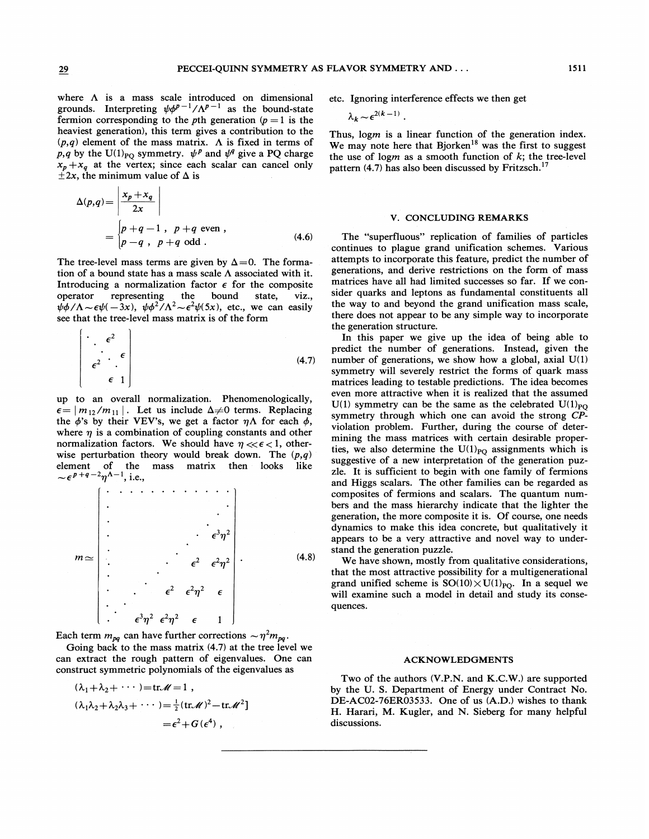$\epsilon$ 

 $\overline{1}$ 

where  $\Lambda$  is a mass scale introduced on dimensional grounds. Interpreting  $\psi \phi^{p-1}/\Lambda^{p-1}$  as the bound-stat fermion corresponding to the pth generation ( $p = 1$  is the heaviest generation), this term gives a contribution to the  $(p,q)$  element of the mass matrix. A is fixed in terms of p, q by the U(1)<sub>PO</sub> symmetry.  $\psi^p$  and  $\psi^q$  give a PQ charge  $x_p + x_q$  at the vertex; since each scalar can cancel only  $\pm 2x$ , the minimum value of  $\Delta$  is

$$
\Delta(p,q) = \left| \frac{x_p + x_q}{2x} \right|
$$
  
= 
$$
\begin{cases} p+q-1, & p+q \text{ even}, \\ p-q, & p+q \text{ odd}. \end{cases}
$$
 (4.6)

The tree-level mass terms are given by  $\Delta=0$ . The formation of a bound state has a mass scale  $\Lambda$  associated with it. Introducing a normalization factor  $\epsilon$  for the composite operator representing the bound state, viz.,<br>  $\psi \phi / \Lambda \sim \epsilon \psi (-3x)$ ,  $\psi \phi^2 / \Lambda^2 \sim \epsilon^2 \psi (5x)$ , etc., we can easily see that the tree-level mass matrix is of the form

$$
\begin{vmatrix}\n\cdot & \epsilon^2 \\
\cdot & \cdot \\
\epsilon^2 & \cdot \\
\epsilon & 1\n\end{vmatrix}
$$
\n(4.7)

up to an overall normalization. Phenomenologically,  $|m_{12}/m_{11}|$ . Let us include  $\Delta \neq 0$  terms. Replacing the  $\phi$ 's by their VEV's, we get a factor  $\eta \Lambda$  for each  $\phi$ , where  $\eta$  is a combination of coupling constants and other normalization factors. We should have  $\eta \ll \epsilon < 1$ , otherwise perturbation theory would break down. The  $(p,q)$ element of the mass matrix then looks like  $\sim \epsilon^{p+q-2}\eta^{\Lambda-1}$ , i.e.,

g3g <sup>2</sup> (4.8) E' 6 Yj'

Each term  $m_{pq}$  can have further corrections  $\sim \eta^2 m_{pq}$ .

Going back to the mass matrix (4.7) at the tree level we can extract the rough pattern of eigenvalues. One can construct symmetric polynomials of the eigenvalues as

$$
(\lambda_1 + \lambda_2 + \cdots) = \text{tr} \mathcal{M} = 1,
$$
  

$$
(\lambda_1 \lambda_2 + \lambda_2 \lambda_3 + \cdots) = \frac{1}{2} (\text{tr} \mathcal{M})^2 - \text{tr} \mathcal{M}^2
$$
  

$$
= \epsilon^2 + G(\epsilon^4),
$$

etc. Ignoring interference effects we then get

$$
\lambda_k \sim \epsilon^{2(k-1)}.
$$

Thus, logm is a linear function of the generation index. We may note here that  $Bjorken^{18}$  was the first to suggest the use of logm as a smooth function of  $k$ ; the tree-level pattern (4.7) has also been discussed by Fritzsch.<sup>17</sup>

#### V. CONCLUDING REMARKS

The "superfluous" replication of families of particles continues to plague grand unification schemes. Various attempts to incorporate this feature, predict the number of generations, and derive restrictions on the form of mass matrices have all had limited successes so far. If we consider quarks and leptons as fundamental constituents all the way to and beyond the grand unification mass scale, there does not appear to be any simple way to incorporate the generation structure.

In this paper we give up the idea of being able to predict the number of generations. Instead, given the number of generations, we show how a global, axial U(1) symmetry will severely restrict the forms of quark mass matrices leading to testable predictions. The idea becomes even more attractive when it is realized that the assumed U(1) symmetry can be the same as the celebrated U(1)<sub>PO</sub> symmetry through which one can avoid the strong CPviolation problem. Further, during the course of determining the mass matrices with certain desirable properties, we also determine the  $U(1)_{PQ}$  assignments which is suggestive of a new interpretation of the generation puzzle. It is sufficient to begin with one family of fermions and Higgs scalars. The other families can be regarded as composites of fermions and scalars. The quantum numbers and the mass hierarchy indicate that the lighter the generation, the more composite it is. Of course, one needs dynamics to make this idea concrete, but qualitatively it appears to be a very attractive and novel way to understand the generation puzzle.

We have shown, mostly from qualitative considerations, that the most attractive possibility for a multigenerational grand unified scheme is  $SO(10)\times U(1)_{PO}$ . In a sequel we will examine such a model in detail and study its consequences.

#### ACKNOWLEDGMENTS

Two of the authors (V.P.N. and K.C.W.) are supported by the U. S. Department of Energy under Contract No. DE-AC02-76ER03533. One of us (A.D.) wishes to thank H. Harari, M. Kugler, and N. Sieberg for many helpful discussions.